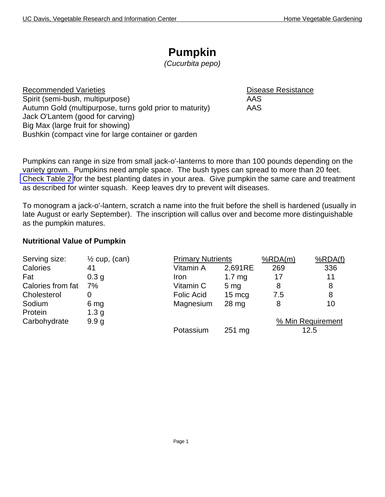# **Pumpkin**

*(Cucurbita pepo)*

Recommended Varieties **Disease Resistance** Spirit (semi-bush, multipurpose) and the settlement of the AAS Autumn Gold (multipurpose, turns gold prior to maturity) AAS Jack O'Lantem (good for carving) Big Max (large fruit for showing) Bushkin (compact vine for large container or garden

Pumpkins can range in size from small jack-o'-lanterns to more than 100 pounds depending on the variety grown. Pumpkins need ample space. The bush types can spread to more than 20 feet. [Check Table 2](http://vric.ucdavis.edu/veginfo/commodity/garden/tables/table2.pdf) for the best planting dates in your area. Give pumpkin the same care and treatment as described for winter squash. Keep leaves dry to prevent wilt diseases.

To monogram a jack-o'-lantern, scratch a name into the fruit before the shell is hardened (usually in late August or early September). The inscription will callus over and become more distinguishable as the pumpkin matures.

#### **Nutritional Value of Pumpkin**

| Serving size:     | $\frac{1}{2}$ cup, (can) | <b>Primary Nutrients</b> |                  | %RDA(m) | %RDA(f)           |
|-------------------|--------------------------|--------------------------|------------------|---------|-------------------|
| Calories          | 41                       | Vitamin A                | 2,691RE          | 269     | 336               |
| Fat               | 0.3 <sub>g</sub>         | Iron                     | 1.7 $mg$         | 17      | 11                |
| Calories from fat | 7%                       | Vitamin C                | 5 <sub>mg</sub>  | 8       | 8                 |
| Cholesterol       | 0                        | <b>Folic Acid</b>        | $15 \text{ mcg}$ | 7.5     | 8                 |
| Sodium            | 6 mg                     | Magnesium                | 28 <sub>mg</sub> | 8       | 10                |
| Protein           | 1.3 <sub>g</sub>         |                          |                  |         |                   |
| Carbohydrate      | 9.9 <sub>g</sub>         |                          |                  |         | % Min Requirement |
|                   |                          | Potassium                | 251 mg           |         | 12.5              |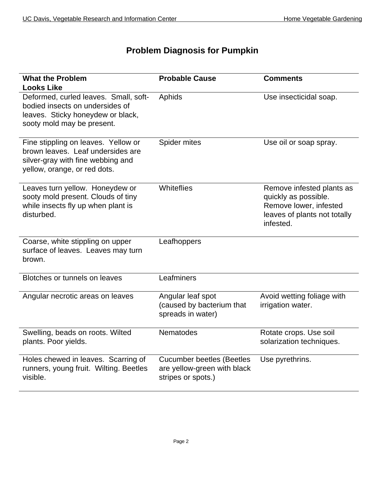## **Problem Diagnosis for Pumpkin**

| <b>What the Problem</b><br><b>Looks Like</b>                                                                                                  | <b>Probable Cause</b>                                                                 | <b>Comments</b>                                                                                                          |
|-----------------------------------------------------------------------------------------------------------------------------------------------|---------------------------------------------------------------------------------------|--------------------------------------------------------------------------------------------------------------------------|
| Deformed, curled leaves. Small, soft-<br>bodied insects on undersides of<br>leaves. Sticky honeydew or black,<br>sooty mold may be present.   | Aphids                                                                                | Use insecticidal soap.                                                                                                   |
| Fine stippling on leaves. Yellow or<br>brown leaves. Leaf undersides are<br>silver-gray with fine webbing and<br>yellow, orange, or red dots. | Spider mites                                                                          | Use oil or soap spray.                                                                                                   |
| Leaves turn yellow. Honeydew or<br>sooty mold present. Clouds of tiny<br>while insects fly up when plant is<br>disturbed.                     | Whiteflies                                                                            | Remove infested plants as<br>quickly as possible.<br>Remove lower, infested<br>leaves of plants not totally<br>infested. |
| Coarse, white stippling on upper<br>surface of leaves. Leaves may turn<br>brown.                                                              | Leafhoppers                                                                           |                                                                                                                          |
| Blotches or tunnels on leaves                                                                                                                 | Leafminers                                                                            |                                                                                                                          |
| Angular necrotic areas on leaves                                                                                                              | Angular leaf spot<br>(caused by bacterium that<br>spreads in water)                   | Avoid wetting foliage with<br>irrigation water.                                                                          |
| Swelling, beads on roots. Wilted<br>plants. Poor yields.                                                                                      | Nematodes                                                                             | Rotate crops. Use soil<br>solarization techniques.                                                                       |
| Holes chewed in leaves. Scarring of<br>runners, young fruit. Wilting. Beetles<br>visible.                                                     | <b>Cucumber beetles (Beetles</b><br>are yellow-green with black<br>stripes or spots.) | Use pyrethrins.                                                                                                          |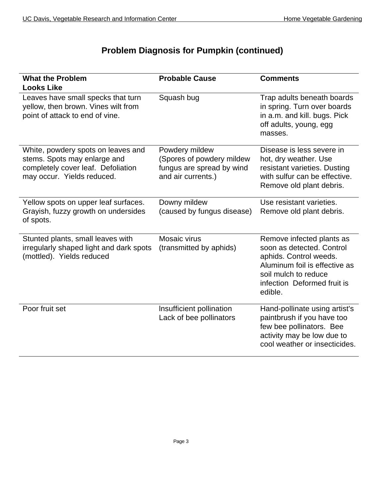## **Problem Diagnosis for Pumpkin (continued)**

| <b>What the Problem</b><br><b>Looks Like</b>                                                                                           | <b>Probable Cause</b>                                                                          | <b>Comments</b>                                                                                                                                                                     |
|----------------------------------------------------------------------------------------------------------------------------------------|------------------------------------------------------------------------------------------------|-------------------------------------------------------------------------------------------------------------------------------------------------------------------------------------|
| Leaves have small specks that turn<br>yellow, then brown. Vines wilt from<br>point of attack to end of vine.                           | Squash bug                                                                                     | Trap adults beneath boards<br>in spring. Turn over boards<br>in a.m. and kill. bugs. Pick<br>off adults, young, egg<br>masses.                                                      |
| White, powdery spots on leaves and<br>stems. Spots may enlarge and<br>completely cover leaf. Defoliation<br>may occur. Yields reduced. | Powdery mildew<br>(Spores of powdery mildew<br>fungus are spread by wind<br>and air currents.) | Disease is less severe in<br>hot, dry weather. Use<br>resistant varieties. Dusting<br>with sulfur can be effective.<br>Remove old plant debris.                                     |
| Yellow spots on upper leaf surfaces.<br>Grayish, fuzzy growth on undersides<br>of spots.                                               | Downy mildew<br>(caused by fungus disease)                                                     | Use resistant varieties.<br>Remove old plant debris.                                                                                                                                |
| Stunted plants, small leaves with<br>irregularly shaped light and dark spots<br>(mottled). Yields reduced                              | Mosaic virus<br>(transmitted by aphids)                                                        | Remove infected plants as<br>soon as detected. Control<br>aphids. Control weeds.<br>Aluminum foil is effective as<br>soil mulch to reduce<br>infection Deformed fruit is<br>edible. |
| Poor fruit set                                                                                                                         | Insufficient pollination<br>Lack of bee pollinators                                            | Hand-pollinate using artist's<br>paintbrush if you have too<br>few bee pollinators. Bee<br>activity may be low due to<br>cool weather or insecticides.                              |